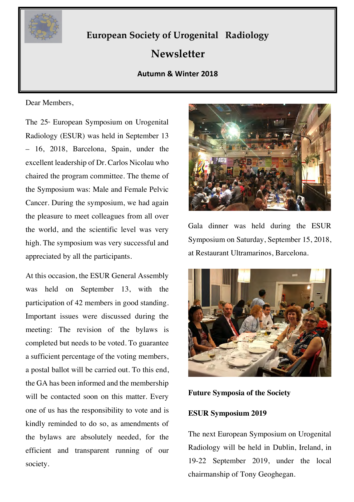

# **European Society of Urogenital Radiology**

# **Newsletter**

# **Autumn & Winter 2018**

Dear Members,

The  $25$ <sup>th</sup> European Symposium on Urogenital Radiology (ESUR) was held in September 13 – 16, 2018, Barcelona, Spain, under the excellent leadership of Dr. Carlos Nicolau who chaired the program committee. The theme of the Symposium was: Male and Female Pelvic Cancer. During the symposium, we had again the pleasure to meet colleagues from all over the world, and the scientific level was very high. The symposium was very successful and appreciated by all the participants.

At this occasion, the ESUR General Assembly was held on September 13, with the participation of 42 members in good standing. Important issues were discussed during the meeting: The revision of the bylaws is completed but needs to be voted. To guarantee a sufficient percentage of the voting members, a postal ballot will be carried out. To this end, the GA has been informed and the membership will be contacted soon on this matter. Every one of us has the responsibility to vote and is kindly reminded to do so, as amendments of the bylaws are absolutely needed, for the efficient and transparent running of our society.



Gala dinner was held during the ESUR Symposium on Saturday, September 15, 2018, at Restaurant Ultramarinos, Barcelona.



**Future Symposia of the Society**

# **ESUR Symposium 2019**

The next European Symposium on Urogenital Radiology will be held in Dublin, Ireland, in 19-22 September 2019, under the local chairmanship of Tony Geoghegan.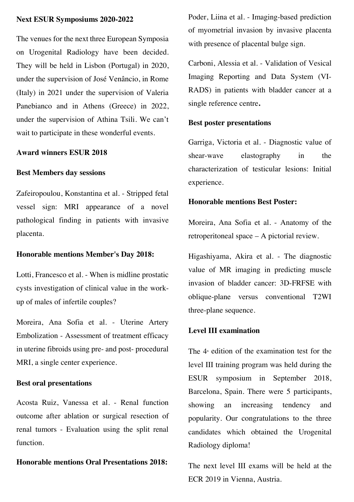#### **Next ESUR Symposiums 2020-2022**

The venues for the next three European Symposia on Urogenital Radiology have been decided. They will be held in Lisbon (Portugal) in 2020, under the supervision of José Venâncio, in Rome (Italy) in 2021 under the supervision of Valeria Panebianco and in Athens (Greece) in 2022, under the supervision of Athina Tsili. We can't wait to participate in these wonderful events.

#### **Award winners ESUR 2018**

#### **Best Members day sessions**

Zafeiropoulou, Konstantina et al. - Stripped fetal vessel sign: MRI appearance of a novel pathological finding in patients with invasive placenta.

#### **Honorable mentions Member's Day 2018:**

Lotti, Francesco et al. - When is midline prostatic cysts investigation of clinical value in the workup of males of infertile couples?

Moreira, Ana Sofia et al. - Uterine Artery Embolization - Assessment of treatment efficacy in uterine fibroids using pre- and post- procedural MRI, a single center experience.

## **Best oral presentations**

Acosta Ruiz, Vanessa et al. - Renal function outcome after ablation or surgical resection of renal tumors - Evaluation using the split renal function.

# **Honorable mentions Oral Presentations 2018:**

Poder, Liina et al. - Imaging-based prediction of myometrial invasion by invasive placenta with presence of placental bulge sign.

Carboni, Alessia et al. - Validation of Vesical Imaging Reporting and Data System (VI-RADS) in patients with bladder cancer at a single reference centre**.** 

## **Best poster presentations**

Garriga, Victoria et al. - Diagnostic value of shear-wave elastography in the characterization of testicular lesions: Initial experience.

# **Honorable mentions Best Poster:**

Moreira, Ana Sofia et al. - Anatomy of the retroperitoneal space – A pictorial review.

Higashiyama, Akira et al. - The diagnostic value of MR imaging in predicting muscle invasion of bladder cancer: 3D-FRFSE with oblique-plane versus conventional T2WI three-plane sequence.

# **Level III examination**

The  $4<sup>*</sup>$  edition of the examination test for the level III training program was held during the ESUR symposium in September 2018, Barcelona, Spain. There were 5 participants, showing an increasing tendency and popularity. Our congratulations to the three candidates which obtained the Urogenital Radiology diploma!

The next level III exams will be held at the ECR 2019 in Vienna, Austria.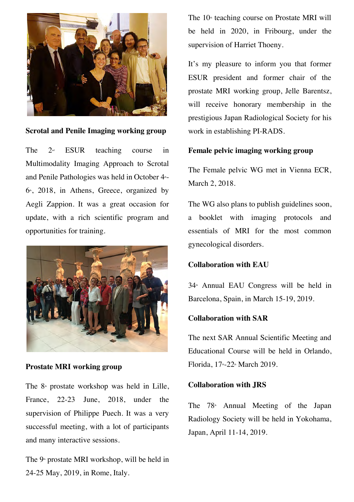

## **Scrotal and Penile Imaging working group**

The  $2<sup>nd</sup>$  ESUR teaching course in Multimodality Imaging Approach to Scrotal and Penile Pathologies was held in October  $4<sup>th</sup>$ - $6<sup>th</sup>$ , 2018, in Athens, Greece, organized by Aegli Zappion. It was a great occasion for update, with a rich scientific program and opportunities for training.



# **Prostate MRI working group**

The  $8<sup>*</sup>$  prostate workshop was held in Lille, France, 22-23 June, 2018, under the supervision of Philippe Puech. It was a very successful meeting, with a lot of participants and many interactive sessions.

The  $9<sup>th</sup>$  prostate MRI workshop, will be held in 24-25 May, 2019, in Rome, Italy.

The  $10<sup>th</sup>$  teaching course on Prostate MRI will be held in 2020, in Fribourg, under the supervision of Harriet Thoeny.

It's my pleasure to inform you that former ESUR president and former chair of the prostate MRI working group, Jelle Barentsz, will receive honorary membership in the prestigious Japan Radiological Society for his work in establishing PI-RADS.

# **Female pelvic imaging working group**

The Female pelvic WG met in Vienna ECR, March 2, 2018.

The WG also plans to publish guidelines soon, a booklet with imaging protocols and essentials of MRI for the most common gynecological disorders.

# **Collaboration with EAU**

 $34<sup>th</sup>$  Annual EAU Congress will be held in Barcelona, Spain, in March 15-19, 2019.

# **Collaboration with SAR**

The next SAR Annual Scientific Meeting and Educational Course will be held in Orlando, Florida,  $17^{\text{th}}-22^{\text{th}}$  March 2019.

# **Collaboration with JRS**

The  $78<sup>*</sup>$  Annual Meeting of the Japan Radiology Society will be held in Yokohama, Japan, April 11-14, 2019.